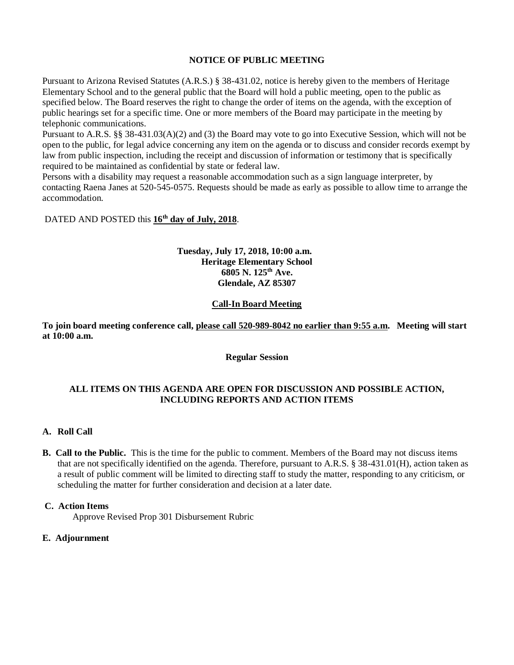### **NOTICE OF PUBLIC MEETING**

Pursuant to Arizona Revised Statutes (A.R.S.) § 38-431.02, notice is hereby given to the members of Heritage Elementary School and to the general public that the Board will hold a public meeting, open to the public as specified below. The Board reserves the right to change the order of items on the agenda, with the exception of public hearings set for a specific time. One or more members of the Board may participate in the meeting by telephonic communications.

Pursuant to A.R.S. §§ 38-431.03(A)(2) and (3) the Board may vote to go into Executive Session, which will not be open to the public, for legal advice concerning any item on the agenda or to discuss and consider records exempt by law from public inspection, including the receipt and discussion of information or testimony that is specifically required to be maintained as confidential by state or federal law.

Persons with a disability may request a reasonable accommodation such as a sign language interpreter, by contacting Raena Janes at 520-545-0575. Requests should be made as early as possible to allow time to arrange the accommodation.

### DATED AND POSTED this **16th day of July, 2018**.

#### **Tuesday, July 17, 2018, 10:00 a.m. Heritage Elementary School 6805 N. 125th Ave. Glendale, AZ 85307**

#### **Call-In Board Meeting**

**To join board meeting conference call, please call 520-989-8042 no earlier than 9:55 a.m. Meeting will start at 10:00 a.m.**

#### **Regular Session**

### **ALL ITEMS ON THIS AGENDA ARE OPEN FOR DISCUSSION AND POSSIBLE ACTION, INCLUDING REPORTS AND ACTION ITEMS**

#### **A. Roll Call**

**B. Call to the Public.** This is the time for the public to comment. Members of the Board may not discuss items that are not specifically identified on the agenda. Therefore, pursuant to A.R.S. § 38-431.01(H), action taken as a result of public comment will be limited to directing staff to study the matter, responding to any criticism, or scheduling the matter for further consideration and decision at a later date.

#### **C. Action Items**

Approve Revised Prop 301 Disbursement Rubric

#### **E. Adjournment**